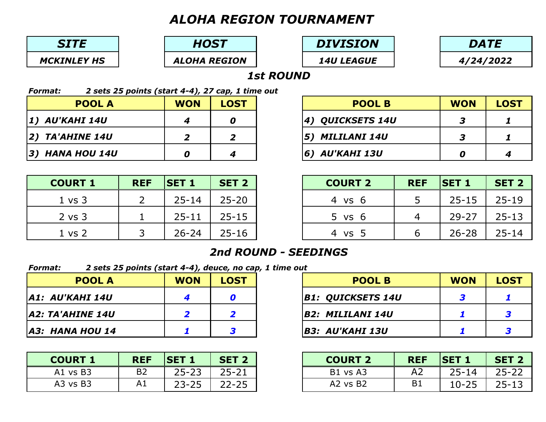# *ALOHA REGION TOURNAMENT*

| <b>WON</b> | <b>LOST</b> | <b>POOL B</b>     | <b>WON</b> | <b>LOST</b> |
|------------|-------------|-------------------|------------|-------------|
|            |             | 4) QUICKSETS 14U  |            |             |
| 5          |             | MILILANI 14U      |            |             |
|            |             | AU'KAHI 13U<br>6) |            |             |

| 2 sets 25 points (start 4-4), 27 cap, 1 time out<br><b>Format:</b> |                 |                |                |  |  |  |  |
|--------------------------------------------------------------------|-----------------|----------------|----------------|--|--|--|--|
|                                                                    | <b>POOL A</b>   | <b>WON</b>     | <b>LOST</b>    |  |  |  |  |
| 1) AU'KAHI 14U                                                     |                 |                |                |  |  |  |  |
| 2) TA'AHINE 14U                                                    |                 | $\overline{2}$ | $\overline{2}$ |  |  |  |  |
|                                                                    | 3) HANA HOU 14U |                |                |  |  |  |  |





| <b>REF</b> | <b>ISET 1</b> | <b>SET 2</b> | <b>COURT 2</b> | <b>REF</b> | <b>SET 1</b> | <b>SET 2</b> |
|------------|---------------|--------------|----------------|------------|--------------|--------------|
|            | $25 - 14$     | $25 - 20$    | 4 vs 6         |            | $25 - 15$    | $25 - 19$    |
|            | $25 - 11$     | $25 - 15$    | 5 vs 6         |            | 29-27        | $25 - 13$    |
|            | $26 - 24$     | $25 - 16$    | 4 vs 5         |            | $26 - 28$    | $25 - 14$    |

### *1st ROUND*

| <b>REF</b> | <b>ISET 1</b> | <b>SET 2</b> | <b>COURT 2</b> | <b>REF</b>     | <b>ISET 1</b> | <b>SET 2</b> |
|------------|---------------|--------------|----------------|----------------|---------------|--------------|
| <b>B2</b>  | $25 - 23$     | $25 - 21$    | B1 vs A3       | A <sub>2</sub> | $25 - 14$     | $25 - 22$    |
| A1         | $23 - 25$     | $22 - 25$    | $A2$ vs $B2$   | B <sub>1</sub> | $10 - 25$     | $25 - 13$    |

*HOST*

*ALOHA REGION*

## *DIVISION*

*14U LEAGUE*

| <b>Format:</b>  | 2 sets 25 points (start 4-4), deuce, no cap, 1 time out |            |             |  |                  |  |  |  |  |
|-----------------|---------------------------------------------------------|------------|-------------|--|------------------|--|--|--|--|
|                 | <b>POOL A</b>                                           | <b>WON</b> | <b>LOST</b> |  | <b>POOL B</b>    |  |  |  |  |
| A1: AU'KAHI 14U |                                                         |            |             |  | B1: QUICKSETS 1، |  |  |  |  |
|                 | A2: TA'AHINE 14U                                        |            | 2           |  | B2: MILILANI 14U |  |  |  |  |
|                 | A3: HANA HOU 14                                         |            | 3           |  | B3: AU'KAHI 13U  |  |  |  |  |

|            |             | $\epsilon$ + $\tau$ $\mu$ acacc, no cap, 1 cmc out |                   |  |             |
|------------|-------------|----------------------------------------------------|-------------------|--|-------------|
| <b>WON</b> | <b>LOST</b> |                                                    | <b>POOL B</b>     |  | <b>LOST</b> |
|            |             |                                                    | B1: QUICKSETS 14U |  |             |
|            |             |                                                    | B2: MILILANI 14U  |  |             |
|            |             |                                                    | B3: AU'KAHI 13U   |  |             |

### *2nd ROUND - SEEDINGS*

| <b>COURT 1</b> | <b>REF</b>     | <b>ISET 1</b> | <b>SET 2</b> | <b>COURT:</b> |
|----------------|----------------|---------------|--------------|---------------|
| A1 vs B3       | B <sub>2</sub> | $25 - 23$     | $25 - 21$    | B1 vs A3      |
| $A3$ vs $B3$   |                | $23 - 25$     | $22 - 25$    | A2 vs B2      |

|  |  | <b>POOL B</b> |
|--|--|---------------|
|  |  |               |

- 
- 
- 

| <b>COURT 1</b>    | <b>REF</b> | <b>ISET 1</b> | <b>SET 2</b> | <b>COURT 2</b>    |
|-------------------|------------|---------------|--------------|-------------------|
| $1 \text{ vs } 3$ |            | $25 - 14$     | $25 - 20$    | $4 \text{ vs } 6$ |
| $2$ vs $3$        |            | $25 - 11$     | $25 - 15$    | $5 \text{ vs } 6$ |
| $1 \text{ vs } 2$ |            | $26 - 24$     | $25 - 16$    | VS 5              |